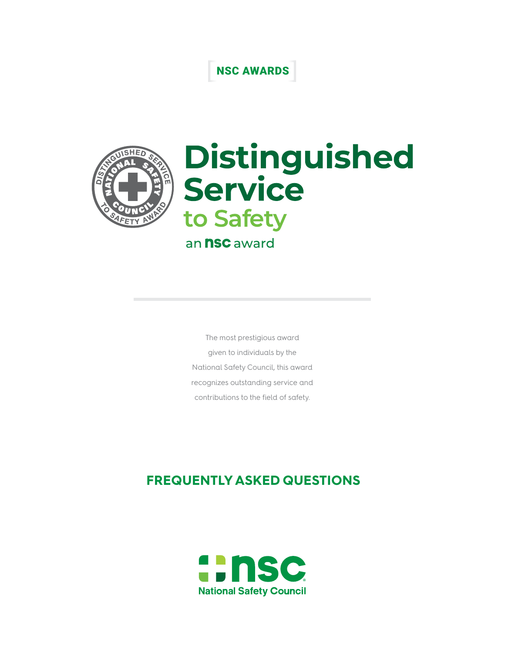## NSC AWARDS



# Distinguished<br>Service to Safety an **nsc** award

The most prestigious award given to individuals by the National Safety Council, this award recognizes outstanding service and contributions to the field of safety.

### **FREQUENTLY ASKED QUESTIONS**

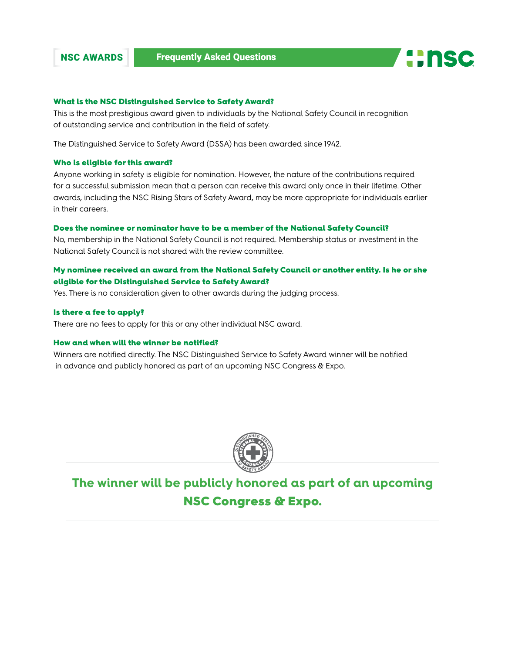



#### What is the NSC Distinguished Service to Safety Award?

This is the most prestigious award given to individuals by the National Safety Council in recognition of outstanding service and contribution in the field of safety.

The Distinguished Service to Safety Award (DSSA) has been awarded since 1942.

#### Who is eligible for this award?

Anyone working in safety is eligible for nomination. However, the nature of the contributions required for a successful submission mean that a person can receive this award only once in their lifetime. Other awards, including the NSC Rising Stars of Safety Award, may be more appropriate for individuals earlier in their careers.

#### Does the nominee or nominator have to be a member of the National Safety Council?

No, membership in the National Safety Council is not required. Membership status or investment in the National Safety Council is not shared with the review committee.

#### My nominee received an award from the National Safety Council or another entity. Is he or she eligible for the Distinguished Service to Safety Award?

Yes. There is no consideration given to other awards during the judging process.

#### Is there a fee to apply?

There are no fees to apply for this or any other individual NSC award.

#### How and when will the winner be notified?

Winners are notified directly. The NSC Distinguished Service to Safety Award winner will be notified in advance and publicly honored as part of an upcoming NSC Congress & Expo.



**The winner will be publicly honored as part of an upcoming** NSC Congress & Expo.